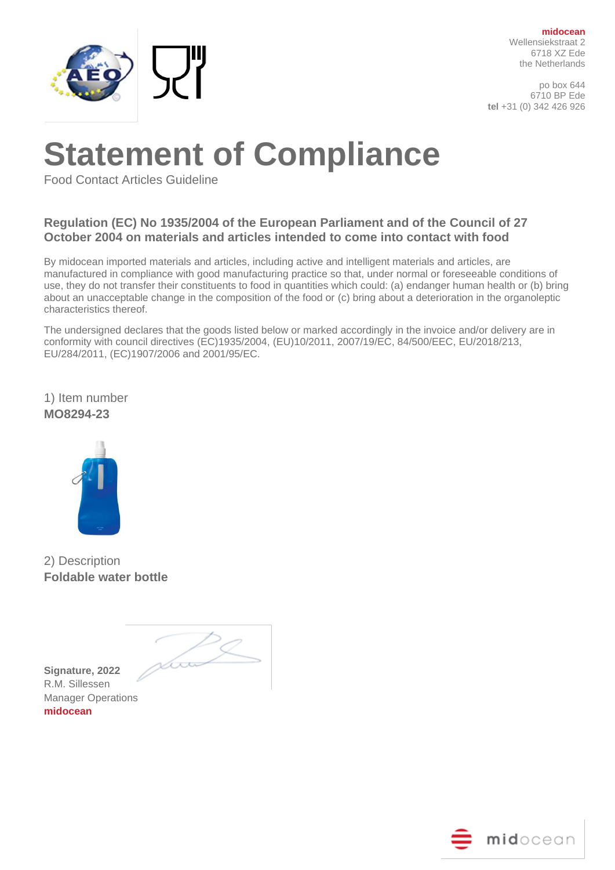

po box 644 6710 BP Ede **tel** +31 (0) 342 426 926

# **Statement of Compliance**

Food Contact Articles Guideline

### **Regulation (EC) No 1935/2004 of the European Parliament and of the Council of 27 October 2004 on materials and articles intended to come into contact with food**

By midocean imported materials and articles, including active and intelligent materials and articles, are manufactured in compliance with good manufacturing practice so that, under normal or foreseeable conditions of use, they do not transfer their constituents to food in quantities which could: (a) endanger human health or (b) bring about an unacceptable change in the composition of the food or (c) bring about a deterioration in the organoleptic characteristics thereof.

The undersigned declares that the goods listed below or marked accordingly in the invoice and/or delivery are in conformity with council directives (EC)1935/2004, (EU)10/2011, 2007/19/EC, 84/500/EEC, EU/2018/213, EU/284/2011, (EC)1907/2006 and 2001/95/EC.

1) Item number **MO8294-23**



2) Description **Foldable water bottle**

<u> hoo</u>

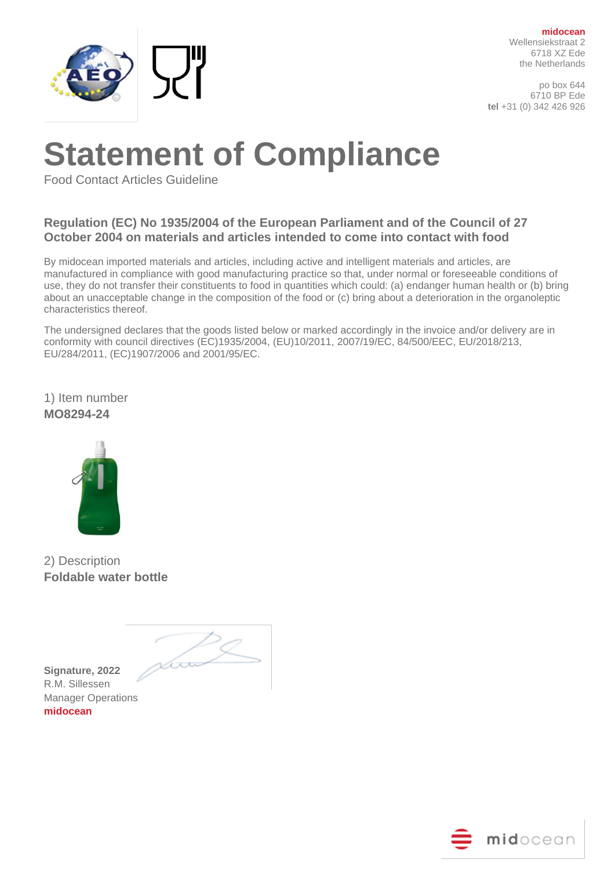

po box 644 6710 BP Ede **tel** +31 (0) 342 426 926

# **Statement of Compliance**

Food Contact Articles Guideline

### **Regulation (EC) No 1935/2004 of the European Parliament and of the Council of 27 October 2004 on materials and articles intended to come into contact with food**

By midocean imported materials and articles, including active and intelligent materials and articles, are manufactured in compliance with good manufacturing practice so that, under normal or foreseeable conditions of use, they do not transfer their constituents to food in quantities which could: (a) endanger human health or (b) bring about an unacceptable change in the composition of the food or (c) bring about a deterioration in the organoleptic characteristics thereof.

The undersigned declares that the goods listed below or marked accordingly in the invoice and/or delivery are in conformity with council directives (EC)1935/2004, (EU)10/2011, 2007/19/EC, 84/500/EEC, EU/2018/213, EU/284/2011, (EC)1907/2006 and 2001/95/EC.

1) Item number **MO8294-24**



2) Description **Foldable water bottle**

<u> hoo</u>

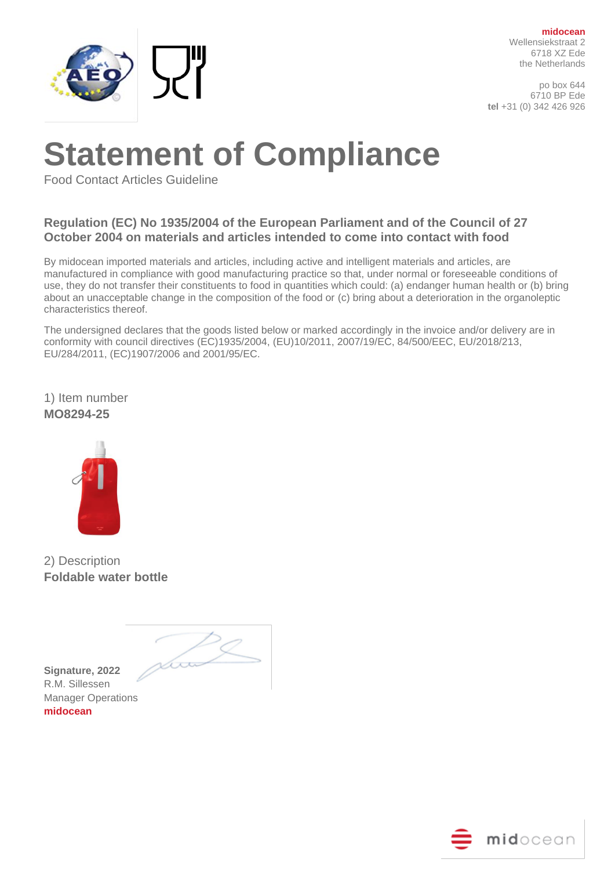

po box 644 6710 BP Ede **tel** +31 (0) 342 426 926

# **Statement of Compliance**

Food Contact Articles Guideline

### **Regulation (EC) No 1935/2004 of the European Parliament and of the Council of 27 October 2004 on materials and articles intended to come into contact with food**

By midocean imported materials and articles, including active and intelligent materials and articles, are manufactured in compliance with good manufacturing practice so that, under normal or foreseeable conditions of use, they do not transfer their constituents to food in quantities which could: (a) endanger human health or (b) bring about an unacceptable change in the composition of the food or (c) bring about a deterioration in the organoleptic characteristics thereof.

The undersigned declares that the goods listed below or marked accordingly in the invoice and/or delivery are in conformity with council directives (EC)1935/2004, (EU)10/2011, 2007/19/EC, 84/500/EEC, EU/2018/213, EU/284/2011, (EC)1907/2006 and 2001/95/EC.

1) Item number **MO8294-25**



2) Description **Foldable water bottle**

<u> hoo</u>

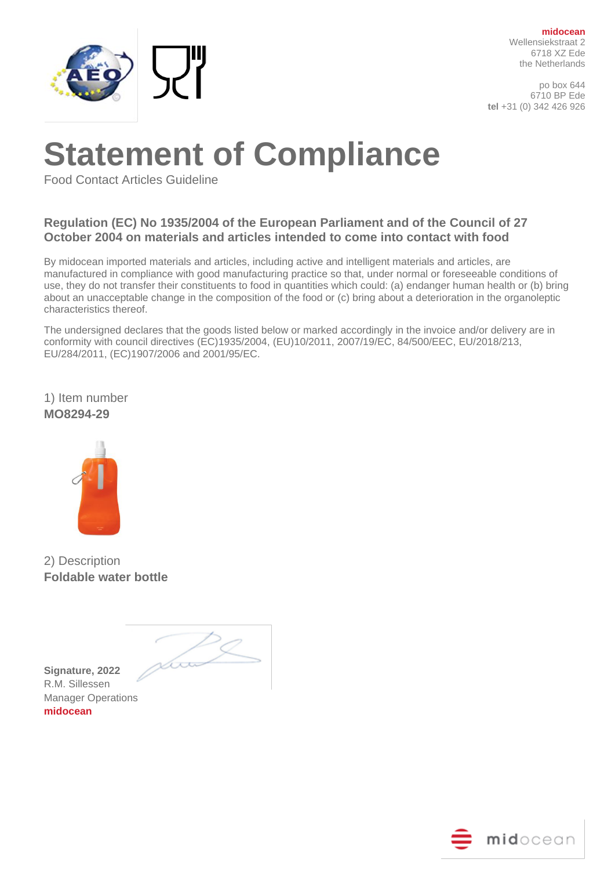

po box 644 6710 BP Ede **tel** +31 (0) 342 426 926

# **Statement of Compliance**

Food Contact Articles Guideline

### **Regulation (EC) No 1935/2004 of the European Parliament and of the Council of 27 October 2004 on materials and articles intended to come into contact with food**

By midocean imported materials and articles, including active and intelligent materials and articles, are manufactured in compliance with good manufacturing practice so that, under normal or foreseeable conditions of use, they do not transfer their constituents to food in quantities which could: (a) endanger human health or (b) bring about an unacceptable change in the composition of the food or (c) bring about a deterioration in the organoleptic characteristics thereof.

The undersigned declares that the goods listed below or marked accordingly in the invoice and/or delivery are in conformity with council directives (EC)1935/2004, (EU)10/2011, 2007/19/EC, 84/500/EEC, EU/2018/213, EU/284/2011, (EC)1907/2006 and 2001/95/EC.

1) Item number **MO8294-29**



2) Description **Foldable water bottle**

<u> hoo</u>

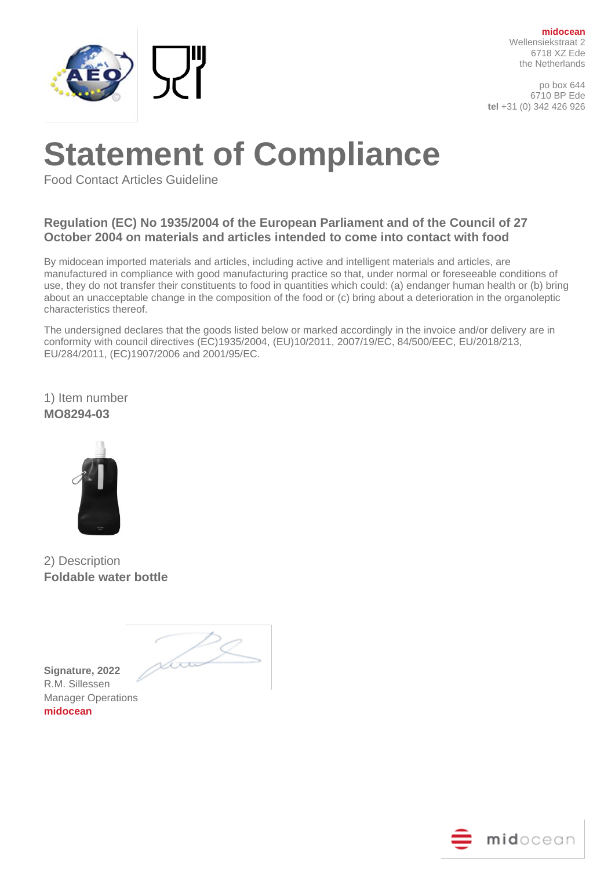

po box 644 6710 BP Ede **tel** +31 (0) 342 426 926

# **Statement of Compliance**

Food Contact Articles Guideline

### **Regulation (EC) No 1935/2004 of the European Parliament and of the Council of 27 October 2004 on materials and articles intended to come into contact with food**

By midocean imported materials and articles, including active and intelligent materials and articles, are manufactured in compliance with good manufacturing practice so that, under normal or foreseeable conditions of use, they do not transfer their constituents to food in quantities which could: (a) endanger human health or (b) bring about an unacceptable change in the composition of the food or (c) bring about a deterioration in the organoleptic characteristics thereof.

The undersigned declares that the goods listed below or marked accordingly in the invoice and/or delivery are in conformity with council directives (EC)1935/2004, (EU)10/2011, 2007/19/EC, 84/500/EEC, EU/2018/213, EU/284/2011, (EC)1907/2006 and 2001/95/EC.

1) Item number **MO8294-03**



2) Description **Foldable water bottle**

<u> hoo</u>